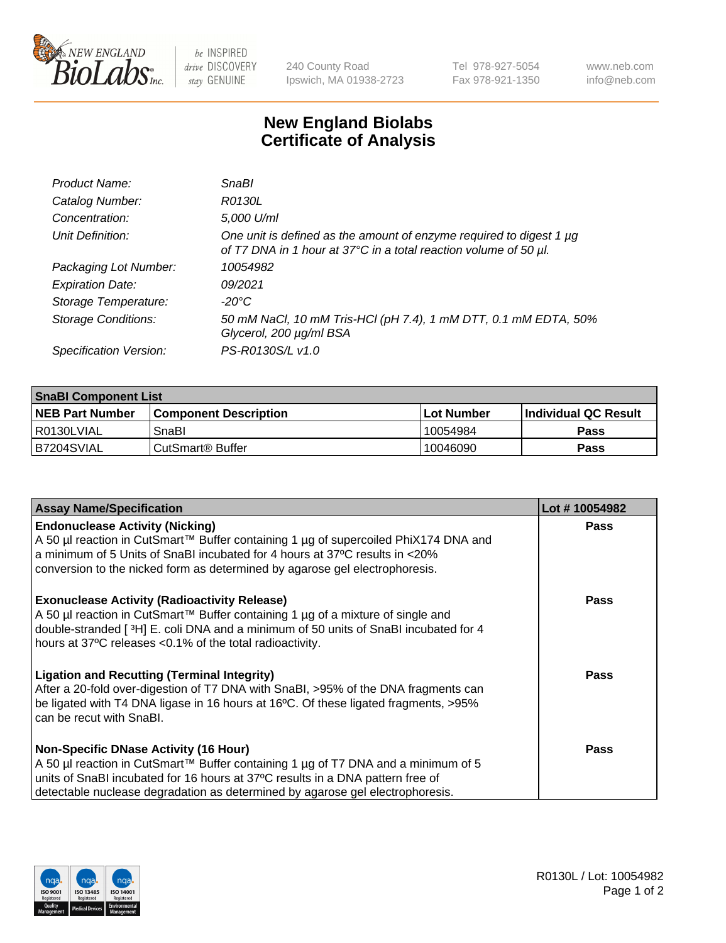

 $be$  INSPIRED drive DISCOVERY stay GENUINE

240 County Road Ipswich, MA 01938-2723 Tel 978-927-5054 Fax 978-921-1350 www.neb.com info@neb.com

## **New England Biolabs Certificate of Analysis**

| Product Name:              | SnaBl                                                                                                                                   |
|----------------------------|-----------------------------------------------------------------------------------------------------------------------------------------|
| Catalog Number:            | R0130L                                                                                                                                  |
| Concentration:             | 5,000 U/ml                                                                                                                              |
| Unit Definition:           | One unit is defined as the amount of enzyme required to digest 1 µg<br>of T7 DNA in 1 hour at 37°C in a total reaction volume of 50 µl. |
| Packaging Lot Number:      | 10054982                                                                                                                                |
| <b>Expiration Date:</b>    | 09/2021                                                                                                                                 |
| Storage Temperature:       | $-20^{\circ}$ C                                                                                                                         |
| <b>Storage Conditions:</b> | 50 mM NaCl, 10 mM Tris-HCl (pH 7.4), 1 mM DTT, 0.1 mM EDTA, 50%<br>Glycerol, 200 µg/ml BSA                                              |
| Specification Version:     | PS-R0130S/L v1.0                                                                                                                        |

| <b>SnaBI Component List</b> |                         |             |                             |  |
|-----------------------------|-------------------------|-------------|-----------------------------|--|
| <b>NEB Part Number</b>      | l Component Description | ⊺Lot Number | <b>Individual QC Result</b> |  |
| I R0130LVIAL                | SnaBl                   | 10054984    | Pass                        |  |
| B7204SVIAL                  | l CutSmart® Buffer      | 10046090    | Pass                        |  |

| <b>Assay Name/Specification</b>                                                                                                                                                                                                                                                                      | Lot #10054982 |
|------------------------------------------------------------------------------------------------------------------------------------------------------------------------------------------------------------------------------------------------------------------------------------------------------|---------------|
| <b>Endonuclease Activity (Nicking)</b><br>A 50 µl reaction in CutSmart™ Buffer containing 1 µg of supercoiled PhiX174 DNA and<br>a minimum of 5 Units of SnaBI incubated for 4 hours at 37°C results in <20%<br>conversion to the nicked form as determined by agarose gel electrophoresis.          | <b>Pass</b>   |
| <b>Exonuclease Activity (Radioactivity Release)</b><br>A 50 µl reaction in CutSmart™ Buffer containing 1 µg of a mixture of single and<br>double-stranded [3H] E. coli DNA and a minimum of 50 units of SnaBI incubated for 4<br>hours at 37°C releases <0.1% of the total radioactivity.            | <b>Pass</b>   |
| <b>Ligation and Recutting (Terminal Integrity)</b><br>After a 20-fold over-digestion of T7 DNA with SnaBI, >95% of the DNA fragments can<br>be ligated with T4 DNA ligase in 16 hours at 16°C. Of these ligated fragments, >95%<br>can be recut with SnaBI.                                          | Pass          |
| <b>Non-Specific DNase Activity (16 Hour)</b><br>A 50 µl reaction in CutSmart™ Buffer containing 1 µg of T7 DNA and a minimum of 5<br>units of SnaBI incubated for 16 hours at 37°C results in a DNA pattern free of<br>detectable nuclease degradation as determined by agarose gel electrophoresis. | Pass          |